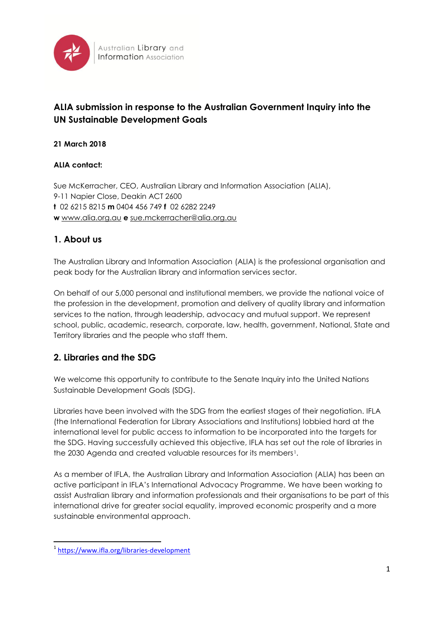

# **ALIA submission in response to the Australian Government Inquiry into the UN Sustainable Development Goals**

#### **21 March 2018**

#### **ALIA contact:**

Sue McKerracher, CEO, Australian Library and Information Association (ALIA), 9-11 Napier Close, Deakin ACT 2600 **t** 02 6215 8215 **m** 0404 456 749 **f** 02 6282 2249 **w** [www.alia.org.au](http://www.alia.org.au/) **e** [sue.mckerracher@alia.org.au](mailto:rob.miller@alia.org.au)

# **1. About us**

The Australian Library and Information Association (ALIA) is the professional organisation and peak body for the Australian library and information services sector.

On behalf of our 5,000 personal and institutional members, we provide the national voice of the profession in the development, promotion and delivery of quality library and information services to the nation, through leadership, advocacy and mutual support. We represent school, public, academic, research, corporate, law, health, government, National, State and Territory libraries and the people who staff them.

# **2. Libraries and the SDG**

We welcome this opportunity to contribute to the Senate Inquiry into the United Nations Sustainable Development Goals (SDG).

Libraries have been involved with the SDG from the earliest stages of their negotiation. IFLA (the International Federation for Library Associations and Institutions) lobbied hard at the international level for public access to information to be incorporated into the targets for the SDG. Having successfully achieved this objective, IFLA has set out the role of libraries in the 2030 Agenda and created valuable resources for its members<sup>1</sup>.

As a member of IFLA, the Australian Library and Information Association (ALIA) has been an active participant in IFLA's International Advocacy Programme. We have been working to assist Australian library and information professionals and their organisations to be part of this international drive for greater social equality, improved economic prosperity and a more sustainable environmental approach.

1

<sup>1</sup> <https://www.ifla.org/libraries-development>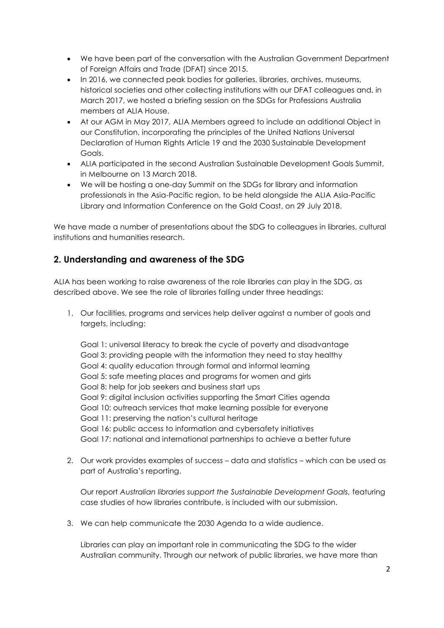- We have been part of the conversation with the Australian Government Department of Foreign Affairs and Trade (DFAT) since 2015.
- In 2016, we connected peak bodies for galleries, libraries, archives, museums, historical societies and other collecting institutions with our DFAT colleagues and, in March 2017, we hosted a briefing session on the SDGs for Professions Australia members at ALIA House.
- At our AGM in May 2017, ALIA Members agreed to include an additional Object in our Constitution, incorporating the principles of the United Nations Universal Declaration of Human Rights Article 19 and the 2030 Sustainable Development Goals.
- ALIA participated in the second Australian Sustainable Development Goals Summit, in Melbourne on 13 March 2018.
- We will be hosting a one-day Summit on the SDGs for library and information professionals in the Asia-Pacific region, to be held alongside the ALIA Asia-Pacific Library and Information Conference on the Gold Coast, on 29 July 2018.

We have made a number of presentations about the SDG to colleagues in libraries, cultural institutions and humanities research.

# **2. Understanding and awareness of the SDG**

ALIA has been working to raise awareness of the role libraries can play in the SDG, as described above. We see the role of libraries falling under three headings:

1. Our facilities, programs and services help deliver against a number of goals and targets, including:

Goal 1: universal literacy to break the cycle of poverty and disadvantage Goal 3: providing people with the information they need to stay healthy Goal 4: quality education through formal and informal learning Goal 5: safe meeting places and programs for women and girls Goal 8: help for job seekers and business start ups Goal 9: digital inclusion activities supporting the Smart Cities agenda Goal 10: outreach services that make learning possible for everyone Goal 11: preserving the nation's cultural heritage Goal 16: public access to information and cybersafety initiatives Goal 17: national and international partnerships to achieve a better future

2. Our work provides examples of success – data and statistics – which can be used as part of Australia's reporting.

Our report Australian libraries support the Sustainable Development Goals, featuring case studies of how libraries contribute, is included with our submission.

3. We can help communicate the 2030 Agenda to a wide audience.

Libraries can play an important role in communicating the SDG to the wider Australian community. Through our network of public libraries, we have more than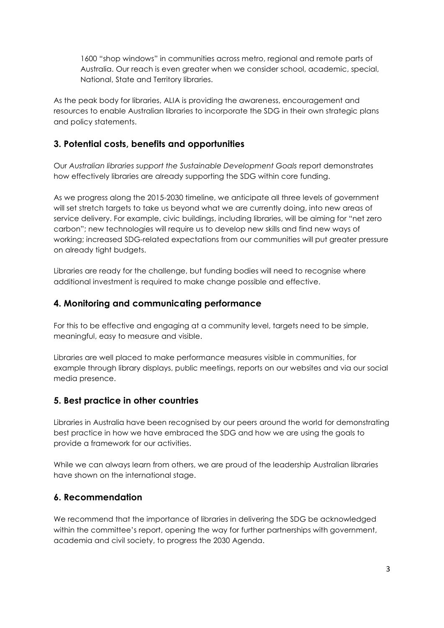1600 "shop windows" in communities across metro, regional and remote parts of Australia. Our reach is even greater when we consider school, academic, special, National, State and Territory libraries.

As the peak body for libraries, ALIA is providing the awareness, encouragement and resources to enable Australian libraries to incorporate the SDG in their own strategic plans and policy statements.

# **3. Potential costs, benefits and opportunities**

Our *Australian libraries support the Sustainable Development Goals* report demonstrates how effectively libraries are already supporting the SDG within core funding.

As we progress along the 2015-2030 timeline, we anticipate all three levels of government will set stretch targets to take us beyond what we are currently doing, into new areas of service delivery. For example, civic buildings, including libraries, will be aiming for "net zero carbon"; new technologies will require us to develop new skills and find new ways of working; increased SDG-related expectations from our communities will put greater pressure on already tight budgets.

Libraries are ready for the challenge, but funding bodies will need to recognise where additional investment is required to make change possible and effective.

### **4. Monitoring and communicating performance**

For this to be effective and engaging at a community level, targets need to be simple, meaningful, easy to measure and visible.

Libraries are well placed to make performance measures visible in communities, for example through library displays, public meetings, reports on our websites and via our social media presence.

### **5. Best practice in other countries**

Libraries in Australia have been recognised by our peers around the world for demonstrating best practice in how we have embraced the SDG and how we are using the goals to provide a framework for our activities.

While we can always learn from others, we are proud of the leadership Australian libraries have shown on the international stage.

### **6. Recommendation**

We recommend that the importance of libraries in delivering the SDG be acknowledged within the committee's report, opening the way for further partnerships with government, academia and civil society, to progress the 2030 Agenda.